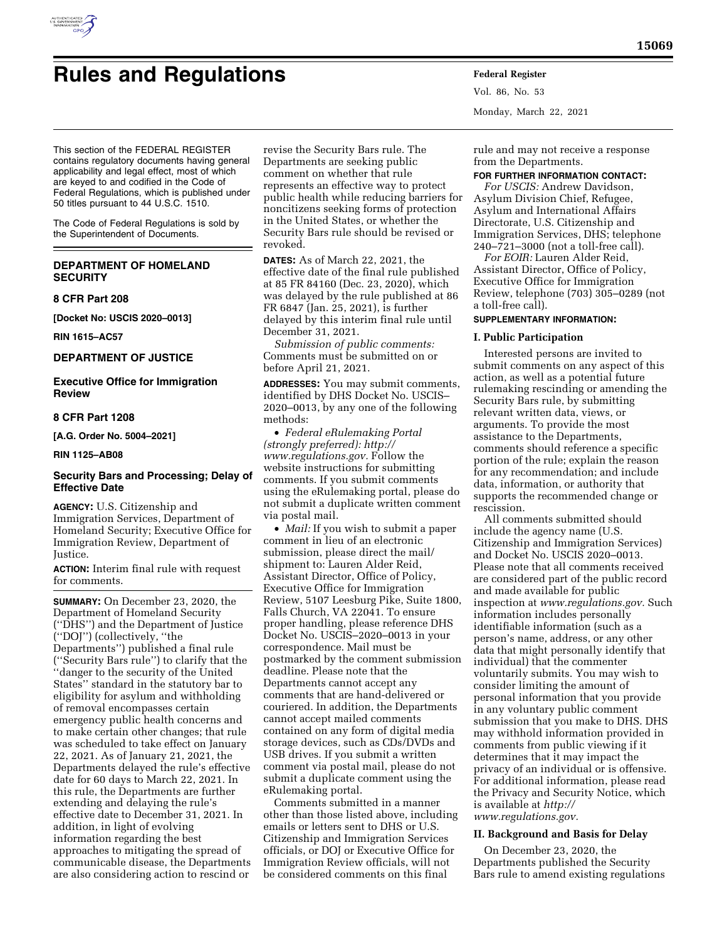

# **Rules and Regulations Federal Register**

Vol. 86, No. 53 Monday, March 22, 2021

This section of the FEDERAL REGISTER contains regulatory documents having general applicability and legal effect, most of which are keyed to and codified in the Code of Federal Regulations, which is published under 50 titles pursuant to 44 U.S.C. 1510.

The Code of Federal Regulations is sold by the Superintendent of Documents.

# **DEPARTMENT OF HOMELAND SECURITY**

**8 CFR Part 208** 

**[Docket No: USCIS 2020–0013]** 

**RIN 1615–AC57** 

# **DEPARTMENT OF JUSTICE**

# **Executive Office for Immigration Review**

# **8 CFR Part 1208**

**[A.G. Order No. 5004–2021]** 

#### **RIN 1125–AB08**

## **Security Bars and Processing; Delay of Effective Date**

**AGENCY:** U.S. Citizenship and Immigration Services, Department of Homeland Security; Executive Office for Immigration Review, Department of Justice.

**ACTION:** Interim final rule with request for comments.

**SUMMARY:** On December 23, 2020, the Department of Homeland Security (''DHS'') and the Department of Justice (''DOJ'') (collectively, ''the Departments'') published a final rule (''Security Bars rule'') to clarify that the ''danger to the security of the United States'' standard in the statutory bar to eligibility for asylum and withholding of removal encompasses certain emergency public health concerns and to make certain other changes; that rule was scheduled to take effect on January 22, 2021. As of January 21, 2021, the Departments delayed the rule's effective date for 60 days to March 22, 2021. In this rule, the Departments are further extending and delaying the rule's effective date to December 31, 2021. In addition, in light of evolving information regarding the best approaches to mitigating the spread of communicable disease, the Departments are also considering action to rescind or

revise the Security Bars rule. The Departments are seeking public comment on whether that rule represents an effective way to protect public health while reducing barriers for noncitizens seeking forms of protection in the United States, or whether the Security Bars rule should be revised or revoked.

**DATES:** As of March 22, 2021, the effective date of the final rule published at 85 FR 84160 (Dec. 23, 2020), which was delayed by the rule published at 86 FR 6847 (Jan. 25, 2021), is further delayed by this interim final rule until December 31, 2021.

*Submission of public comments:*  Comments must be submitted on or before April 21, 2021.

**ADDRESSES:** You may submit comments, identified by DHS Docket No. USCIS– 2020–0013, by any one of the following methods:

• *Federal eRulemaking Portal (strongly preferred): [http://](http://www.regulations.gov) [www.regulations.gov.](http://www.regulations.gov)* Follow the website instructions for submitting comments. If you submit comments using the eRulemaking portal, please do not submit a duplicate written comment via postal mail.

• *Mail:* If you wish to submit a paper comment in lieu of an electronic submission, please direct the mail/ shipment to: Lauren Alder Reid, Assistant Director, Office of Policy, Executive Office for Immigration Review, 5107 Leesburg Pike, Suite 1800, Falls Church, VA 22041. To ensure proper handling, please reference DHS Docket No. USCIS–2020–0013 in your correspondence. Mail must be postmarked by the comment submission deadline. Please note that the Departments cannot accept any comments that are hand-delivered or couriered. In addition, the Departments cannot accept mailed comments contained on any form of digital media storage devices, such as CDs/DVDs and USB drives. If you submit a written comment via postal mail, please do not submit a duplicate comment using the eRulemaking portal.

Comments submitted in a manner other than those listed above, including emails or letters sent to DHS or U.S. Citizenship and Immigration Services officials, or DOJ or Executive Office for Immigration Review officials, will not be considered comments on this final

rule and may not receive a response from the Departments.

# **FOR FURTHER INFORMATION CONTACT:**

*For USCIS:* Andrew Davidson, Asylum Division Chief, Refugee, Asylum and International Affairs Directorate, U.S. Citizenship and Immigration Services, DHS; telephone 240–721–3000 (not a toll-free call).

*For EOIR:* Lauren Alder Reid, Assistant Director, Office of Policy, Executive Office for Immigration Review, telephone (703) 305–0289 (not a toll-free call).

# **SUPPLEMENTARY INFORMATION:**

#### **I. Public Participation**

Interested persons are invited to submit comments on any aspect of this action, as well as a potential future rulemaking rescinding or amending the Security Bars rule, by submitting relevant written data, views, or arguments. To provide the most assistance to the Departments, comments should reference a specific portion of the rule; explain the reason for any recommendation; and include data, information, or authority that supports the recommended change or rescission.

All comments submitted should include the agency name (U.S. Citizenship and Immigration Services) and Docket No. USCIS 2020–0013. Please note that all comments received are considered part of the public record and made available for public inspection at *[www.regulations.gov.](http://www.regulations.gov)* Such information includes personally identifiable information (such as a person's name, address, or any other data that might personally identify that individual) that the commenter voluntarily submits. You may wish to consider limiting the amount of personal information that you provide in any voluntary public comment submission that you make to DHS. DHS may withhold information provided in comments from public viewing if it determines that it may impact the privacy of an individual or is offensive. For additional information, please read the Privacy and Security Notice, which is available at *[http://](http://www.regulations.gov) [www.regulations.gov.](http://www.regulations.gov)* 

## **II. Background and Basis for Delay**

On December 23, 2020, the Departments published the Security Bars rule to amend existing regulations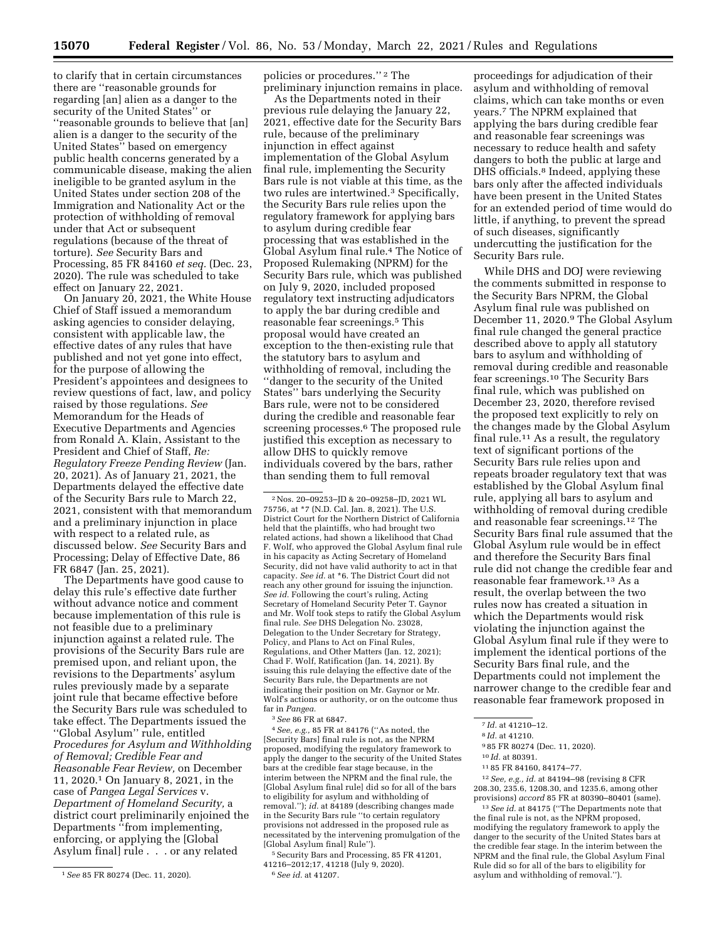to clarify that in certain circumstances there are ''reasonable grounds for regarding [an] alien as a danger to the security of the United States'' or ''reasonable grounds to believe that [an] alien is a danger to the security of the United States'' based on emergency public health concerns generated by a communicable disease, making the alien ineligible to be granted asylum in the United States under section 208 of the Immigration and Nationality Act or the protection of withholding of removal under that Act or subsequent regulations (because of the threat of torture). *See* Security Bars and Processing, 85 FR 84160 *et seq.* (Dec. 23, 2020). The rule was scheduled to take effect on January 22, 2021.

On January 20, 2021, the White House Chief of Staff issued a memorandum asking agencies to consider delaying, consistent with applicable law, the effective dates of any rules that have published and not yet gone into effect, for the purpose of allowing the President's appointees and designees to review questions of fact, law, and policy raised by those regulations. *See*  Memorandum for the Heads of Executive Departments and Agencies from Ronald A. Klain, Assistant to the President and Chief of Staff, *Re: Regulatory Freeze Pending Review* (Jan. 20, 2021). As of January 21, 2021, the Departments delayed the effective date of the Security Bars rule to March 22, 2021, consistent with that memorandum and a preliminary injunction in place with respect to a related rule, as discussed below. *See* Security Bars and Processing; Delay of Effective Date, 86 FR 6847 (Jan. 25, 2021).

The Departments have good cause to delay this rule's effective date further without advance notice and comment because implementation of this rule is not feasible due to a preliminary injunction against a related rule. The provisions of the Security Bars rule are premised upon, and reliant upon, the revisions to the Departments' asylum rules previously made by a separate joint rule that became effective before the Security Bars rule was scheduled to take effect. The Departments issued the ''Global Asylum'' rule, entitled *Procedures for Asylum and Withholding of Removal; Credible Fear and Reasonable Fear Review,* on December 11, 2020.1 On January 8, 2021, in the case of *Pangea Legal Services* v. *Department of Homeland Security,* a district court preliminarily enjoined the Departments ''from implementing, enforcing, or applying the [Global Asylum final] rule . . . or any related

policies or procedures."<sup>2</sup> The preliminary injunction remains in place.

As the Departments noted in their previous rule delaying the January 22, 2021, effective date for the Security Bars rule, because of the preliminary injunction in effect against implementation of the Global Asylum final rule, implementing the Security Bars rule is not viable at this time, as the two rules are intertwined.3 Specifically, the Security Bars rule relies upon the regulatory framework for applying bars to asylum during credible fear processing that was established in the Global Asylum final rule.4 The Notice of Proposed Rulemaking (NPRM) for the Security Bars rule, which was published on July 9, 2020, included proposed regulatory text instructing adjudicators to apply the bar during credible and reasonable fear screenings.5 This proposal would have created an exception to the then-existing rule that the statutory bars to asylum and withholding of removal, including the ''danger to the security of the United States'' bars underlying the Security Bars rule, were not to be considered during the credible and reasonable fear screening processes.<sup>6</sup> The proposed rule justified this exception as necessary to allow DHS to quickly remove individuals covered by the bars, rather than sending them to full removal

2Nos. 20–09253–JD & 20–09258–JD, 2021 WL 75756, at \*7 (N.D. Cal. Jan. 8, 2021). The U.S. District Court for the Northern District of California held that the plaintiffs, who had brought two related actions, had shown a likelihood that Chad F. Wolf, who approved the Global Asylum final rule in his capacity as Acting Secretary of Homeland Security, did not have valid authority to act in that capacity. *See id.* at \*6. The District Court did not reach any other ground for issuing the injunction. *See id.* Following the court's ruling, Acting Secretary of Homeland Security Peter T. Gaynor and Mr. Wolf took steps to ratify the Global Asylum final rule. *See* DHS Delegation No. 23028, Delegation to the Under Secretary for Strategy, Policy, and Plans to Act on Final Rules, Regulations, and Other Matters (Jan. 12, 2021); Chad F. Wolf, Ratification (Jan. 14, 2021). By issuing this rule delaying the effective date of the Security Bars rule, the Departments are not indicating their position on Mr. Gaynor or Mr. Wolf's actions or authority, or on the outcome thus far in *Pangea.* 

3*See* 86 FR at 6847.

4*See, e.g.,* 85 FR at 84176 (''As noted, the [Security Bars] final rule is not, as the NPRM proposed, modifying the regulatory framework to apply the danger to the security of the United States bars at the credible fear stage because, in the interim between the NPRM and the final rule, the [Global Asylum final rule] did so for all of the bars to eligibility for asylum and withholding of removal.''); *id.* at 84189 (describing changes made in the Security Bars rule ''to certain regulatory provisions not addressed in the proposed rule as necessitated by the intervening promulgation of the [Global Asylum final] Rule'').

5Security Bars and Processing, 85 FR 41201, 41216–2012;17, 41218 (July 9, 2020). 6*See id.* at 41207.

proceedings for adjudication of their asylum and withholding of removal claims, which can take months or even years.7 The NPRM explained that applying the bars during credible fear and reasonable fear screenings was necessary to reduce health and safety dangers to both the public at large and DHS officials.8 Indeed, applying these bars only after the affected individuals have been present in the United States for an extended period of time would do little, if anything, to prevent the spread of such diseases, significantly undercutting the justification for the Security Bars rule.

While DHS and DOJ were reviewing the comments submitted in response to the Security Bars NPRM, the Global Asylum final rule was published on December 11, 2020.9 The Global Asylum final rule changed the general practice described above to apply all statutory bars to asylum and withholding of removal during credible and reasonable fear screenings.10 The Security Bars final rule, which was published on December 23, 2020, therefore revised the proposed text explicitly to rely on the changes made by the Global Asylum final rule.<sup>11</sup> As a result, the regulatory text of significant portions of the Security Bars rule relies upon and repeats broader regulatory text that was established by the Global Asylum final rule, applying all bars to asylum and withholding of removal during credible and reasonable fear screenings.12 The Security Bars final rule assumed that the Global Asylum rule would be in effect and therefore the Security Bars final rule did not change the credible fear and reasonable fear framework.13 As a result, the overlap between the two rules now has created a situation in which the Departments would risk violating the injunction against the Global Asylum final rule if they were to implement the identical portions of the Security Bars final rule, and the Departments could not implement the narrower change to the credible fear and reasonable fear framework proposed in

12*See, e.g., id.* at 84194–98 (revising 8 CFR 208.30, 235.6, 1208.30, and 1235.6, among other provisions) *accord* 85 FR at 80390–80401 (same).

13*See id.* at 84175 (''The Departments note that the final rule is not, as the NPRM proposed, modifying the regulatory framework to apply the danger to the security of the United States bars at the credible fear stage. In the interim between the NPRM and the final rule, the Global Asylum Final Rule did so for all of the bars to eligibility for asylum and withholding of removal.'').

<sup>1</sup>*See* 85 FR 80274 (Dec. 11, 2020).

<sup>7</sup> *Id.* at 41210–12.

<sup>8</sup> *Id.* at 41210.

<sup>9</sup> 85 FR 80274 (Dec. 11, 2020).

<sup>10</sup> *Id.* at 80391.

<sup>11</sup> 85 FR 84160, 84174–77.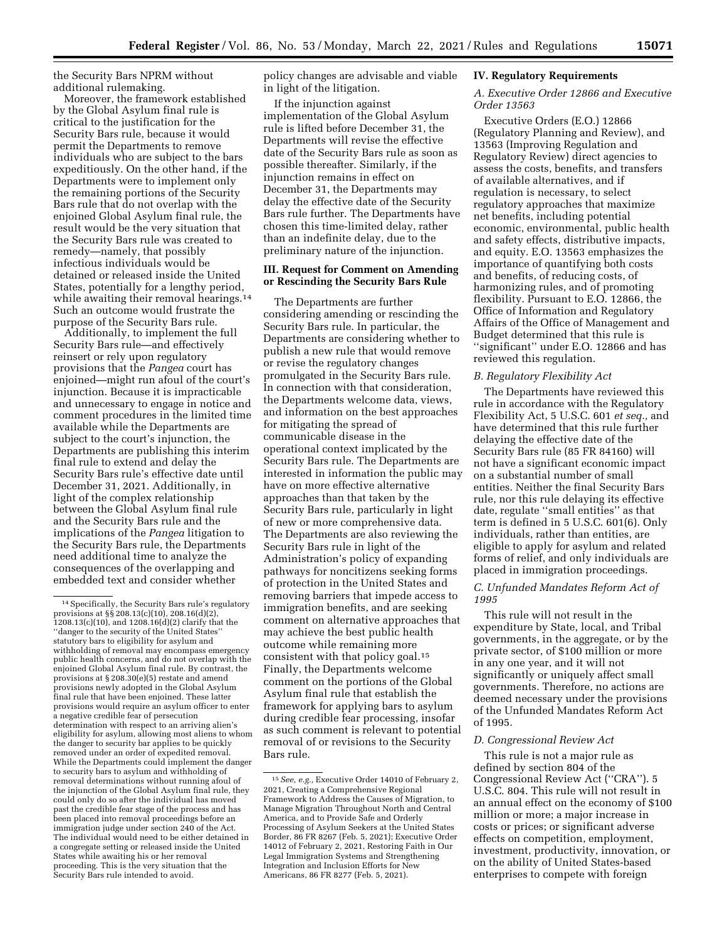the Security Bars NPRM without additional rulemaking.

Moreover, the framework established by the Global Asylum final rule is critical to the justification for the Security Bars rule, because it would permit the Departments to remove individuals who are subject to the bars expeditiously. On the other hand, if the Departments were to implement only the remaining portions of the Security Bars rule that do not overlap with the enjoined Global Asylum final rule, the result would be the very situation that the Security Bars rule was created to remedy—namely, that possibly infectious individuals would be detained or released inside the United States, potentially for a lengthy period, while awaiting their removal hearings.<sup>14</sup> Such an outcome would frustrate the purpose of the Security Bars rule.

Additionally, to implement the full Security Bars rule—and effectively reinsert or rely upon regulatory provisions that the *Pangea* court has enjoined—might run afoul of the court's injunction. Because it is impracticable and unnecessary to engage in notice and comment procedures in the limited time available while the Departments are subject to the court's injunction, the Departments are publishing this interim final rule to extend and delay the Security Bars rule's effective date until December 31, 2021. Additionally, in light of the complex relationship between the Global Asylum final rule and the Security Bars rule and the implications of the *Pangea* litigation to the Security Bars rule, the Departments need additional time to analyze the consequences of the overlapping and embedded text and consider whether

policy changes are advisable and viable in light of the litigation.

If the injunction against implementation of the Global Asylum rule is lifted before December 31, the Departments will revise the effective date of the Security Bars rule as soon as possible thereafter. Similarly, if the injunction remains in effect on December 31, the Departments may delay the effective date of the Security Bars rule further. The Departments have chosen this time-limited delay, rather than an indefinite delay, due to the preliminary nature of the injunction.

# **III. Request for Comment on Amending or Rescinding the Security Bars Rule**

The Departments are further considering amending or rescinding the Security Bars rule. In particular, the Departments are considering whether to publish a new rule that would remove or revise the regulatory changes promulgated in the Security Bars rule. In connection with that consideration, the Departments welcome data, views, and information on the best approaches for mitigating the spread of communicable disease in the operational context implicated by the Security Bars rule. The Departments are interested in information the public may have on more effective alternative approaches than that taken by the Security Bars rule, particularly in light of new or more comprehensive data. The Departments are also reviewing the Security Bars rule in light of the Administration's policy of expanding pathways for noncitizens seeking forms of protection in the United States and removing barriers that impede access to immigration benefits, and are seeking comment on alternative approaches that may achieve the best public health outcome while remaining more consistent with that policy goal.15 Finally, the Departments welcome comment on the portions of the Global Asylum final rule that establish the framework for applying bars to asylum during credible fear processing, insofar as such comment is relevant to potential removal of or revisions to the Security Bars rule.

#### **IV. Regulatory Requirements**

## *A. Executive Order 12866 and Executive Order 13563*

Executive Orders (E.O.) 12866 (Regulatory Planning and Review), and 13563 (Improving Regulation and Regulatory Review) direct agencies to assess the costs, benefits, and transfers of available alternatives, and if regulation is necessary, to select regulatory approaches that maximize net benefits, including potential economic, environmental, public health and safety effects, distributive impacts, and equity. E.O. 13563 emphasizes the importance of quantifying both costs and benefits, of reducing costs, of harmonizing rules, and of promoting flexibility. Pursuant to E.O. 12866, the Office of Information and Regulatory Affairs of the Office of Management and Budget determined that this rule is ''significant'' under E.O. 12866 and has reviewed this regulation.

#### *B. Regulatory Flexibility Act*

The Departments have reviewed this rule in accordance with the Regulatory Flexibility Act, 5 U.S.C. 601 *et seq.,* and have determined that this rule further delaying the effective date of the Security Bars rule (85 FR 84160) will not have a significant economic impact on a substantial number of small entities. Neither the final Security Bars rule, nor this rule delaying its effective date, regulate ''small entities'' as that term is defined in 5 U.S.C. 601(6). Only individuals, rather than entities, are eligible to apply for asylum and related forms of relief, and only individuals are placed in immigration proceedings.

#### *C. Unfunded Mandates Reform Act of 1995*

This rule will not result in the expenditure by State, local, and Tribal governments, in the aggregate, or by the private sector, of \$100 million or more in any one year, and it will not significantly or uniquely affect small governments. Therefore, no actions are deemed necessary under the provisions of the Unfunded Mandates Reform Act of 1995.

#### *D. Congressional Review Act*

This rule is not a major rule as defined by section 804 of the Congressional Review Act (''CRA''). 5 U.S.C. 804. This rule will not result in an annual effect on the economy of \$100 million or more; a major increase in costs or prices; or significant adverse effects on competition, employment, investment, productivity, innovation, or on the ability of United States-based enterprises to compete with foreign

<sup>14</sup>Specifically, the Security Bars rule's regulatory provisions at §§ 208.13(c)(10), 208.16(d)(2), 1208.13(c)(10), and 1208.16(d)(2) clarify that the ''danger to the security of the United States'' statutory bars to eligibility for asylum and withholding of removal may encompass emergency public health concerns, and do not overlap with the enjoined Global Asylum final rule. By contrast, the provisions at § 208.30(e)(5) restate and amend provisions newly adopted in the Global Asylum final rule that have been enjoined. These latter provisions would require an asylum officer to enter a negative credible fear of persecution determination with respect to an arriving alien's eligibility for asylum, allowing most aliens to whom the danger to security bar applies to be quickly removed under an order of expedited removal. While the Departments could implement the danger to security bars to asylum and withholding of removal determinations without running afoul of the injunction of the Global Asylum final rule, they could only do so after the individual has moved past the credible fear stage of the process and has been placed into removal proceedings before an immigration judge under section 240 of the Act. The individual would need to be either detained in a congregate setting or released inside the United States while awaiting his or her removal proceeding. This is the very situation that the Security Bars rule intended to avoid.

<sup>15</sup>*See, e.g.,* Executive Order 14010 of February 2, 2021, Creating a Comprehensive Regional Framework to Address the Causes of Migration, to Manage Migration Throughout North and Central America, and to Provide Safe and Orderly Processing of Asylum Seekers at the United States Border, 86 FR 8267 (Feb. 5, 2021); Executive Order 14012 of February 2, 2021, Restoring Faith in Our Legal Immigration Systems and Strengthening Integration and Inclusion Efforts for New Americans, 86 FR 8277 (Feb. 5, 2021).